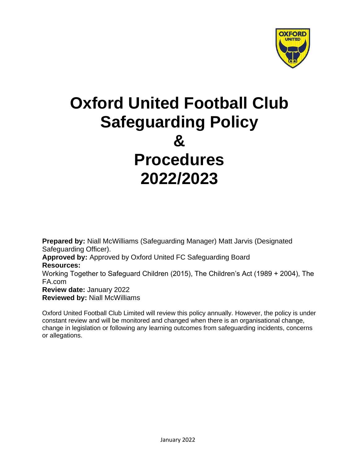

# **Oxford United Football Club Safeguarding Policy & Procedures 2022/2023**

**Prepared by:** Niall McWilliams (Safeguarding Manager) Matt Jarvis (Designated Safeguarding Officer). **Approved by:** Approved by Oxford United FC Safeguarding Board **Resources:** Working Together to Safeguard Children (2015), The Children's Act (1989 + 2004), The FA.com **Review date:** January 2022 **Reviewed by:** Niall McWilliams

Oxford United Football Club Limited will review this policy annually. However, the policy is under constant review and will be monitored and changed when there is an organisational change, change in legislation or following any learning outcomes from safeguarding incidents, concerns or allegations.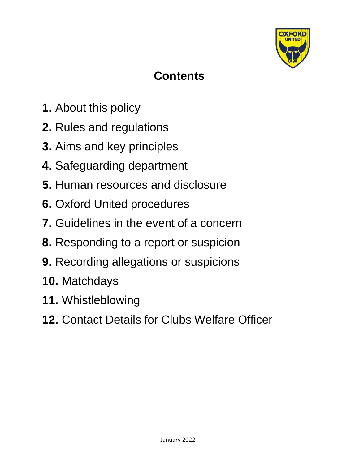

# **Contents**

- **1.** About this policy
- **2.** Rules and regulations
- **3.** Aims and key principles
- **4.** Safeguarding department
- **5.** Human resources and disclosure
- **6.** Oxford United procedures
- **7.** Guidelines in the event of a concern
- **8.** Responding to a report or suspicion
- **9.** Recording allegations or suspicions
- **10.** Matchdays
- **11.** Whistleblowing
- **12.** Contact Details for Clubs Welfare Officer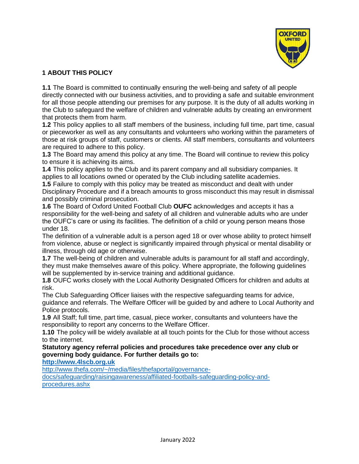

# **1 ABOUT THIS POLICY**

**1.1** The Board is committed to continually ensuring the well-being and safety of all people directly connected with our business activities, and to providing a safe and suitable environment for all those people attending our premises for any purpose. It is the duty of all adults working in the Club to safeguard the welfare of children and vulnerable adults by creating an environment that protects them from harm.

**1.2** This policy applies to all staff members of the business, including full time, part time, casual or pieceworker as well as any consultants and volunteers who working within the parameters of those at risk groups of staff, customers or clients. All staff members, consultants and volunteers are required to adhere to this policy.

**1.3** The Board may amend this policy at any time. The Board will continue to review this policy to ensure it is achieving its aims.

**1.4** This policy applies to the Club and its parent company and all subsidiary companies. It applies to all locations owned or operated by the Club including satellite academies.

**1.5** Failure to comply with this policy may be treated as misconduct and dealt with under Disciplinary Procedure and if a breach amounts to gross misconduct this may result in dismissal and possibly criminal prosecution.

**1.6** The Board of Oxford United Football Club **OUFC** acknowledges and accepts it has a responsibility for the well-being and safety of all children and vulnerable adults who are under the OUFC's care or using its facilities. The definition of a child or young person means those under 18.

The definition of a vulnerable adult is a person aged 18 or over whose ability to protect himself from violence, abuse or neglect is significantly impaired through physical or mental disability or illness, through old age or otherwise.

**1.7** The well-being of children and vulnerable adults is paramount for all staff and accordingly, they must make themselves aware of this policy. Where appropriate, the following guidelines will be supplemented by in-service training and additional guidance.

**1.8** OUFC works closely with the Local Authority Designated Officers for children and adults at risk.

The Club Safeguarding Officer liaises with the respective safeguarding teams for advice, guidance and referrals. The Welfare Officer will be guided by and adhere to Local Authority and Police protocols.

**1.9** All Staff; full time, part time, casual, piece worker, consultants and volunteers have the responsibility to report any concerns to the Welfare Officer.

**1.10** The policy will be widely available at all touch points for the Club for those without access to the internet.

# **Statutory agency referral policies and procedures take precedence over any club or governing body guidance. For further details go to:**

**http://www.4lscb.org.uk**

http://www.thefa.com/~/media/files/thefaportal/governance-

docs/safeguarding/raisingawareness/affiliated-footballs-safeguarding-policy-andprocedures.ashx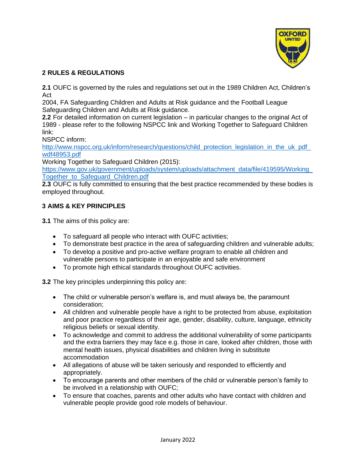

# **2 RULES & REGULATIONS**

**2.1** OUFC is governed by the rules and regulations set out in the 1989 Children Act, Children's Act

2004, FA Safeguarding Children and Adults at Risk guidance and the Football League Safeguarding Children and Adults at Risk guidance.

**2.2** For detailed information on current legislation – in particular changes to the original Act of 1989 - please refer to the following NSPCC link and Working Together to Safeguard Children link:

NSPCC inform:

http://www.nspcc.org.uk/inform/research/questions/child\_protection\_legislation\_in\_the\_uk\_pdf\_ wdf48953.pdf

Working Together to Safeguard Children (2015):

https://www.gov.uk/government/uploads/system/uploads/attachment\_data/file/419595/Working\_ Together\_to\_Safeguard\_Children.pdf

**2.3** OUFC is fully committed to ensuring that the best practice recommended by these bodies is employed throughout.

# **3 AIMS & KEY PRINCIPLES**

**3.1** The aims of this policy are:

- To safeguard all people who interact with OUFC activities;
- To demonstrate best practice in the area of safeguarding children and vulnerable adults;
- To develop a positive and pro-active welfare program to enable all children and vulnerable persons to participate in an enjoyable and safe environment
- To promote high ethical standards throughout OUFC activities.

**3.2** The key principles underpinning this policy are:

- The child or vulnerable person's welfare is, and must always be, the paramount consideration;
- All children and vulnerable people have a right to be protected from abuse, exploitation and poor practice regardless of their age, gender, disability, culture, language, ethnicity religious beliefs or sexual identity.
- To acknowledge and commit to address the additional vulnerability of some participants and the extra barriers they may face e.g. those in care, looked after children, those with mental health issues, physical disabilities and children living in substitute accommodation
- All allegations of abuse will be taken seriously and responded to efficiently and appropriately.
- To encourage parents and other members of the child or vulnerable person's family to be involved in a relationship with OUFC;
- To ensure that coaches, parents and other adults who have contact with children and vulnerable people provide good role models of behaviour.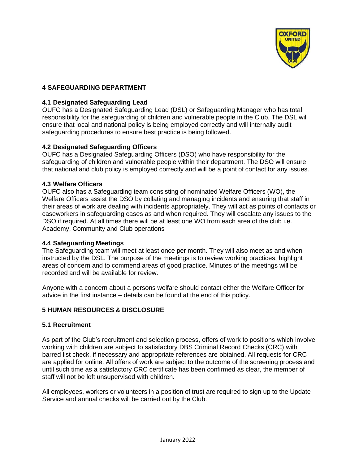

# **4 SAFEGUARDING DEPARTMENT**

#### **4.1 Designated Safeguarding Lead**

OUFC has a Designated Safeguarding Lead (DSL) or Safeguarding Manager who has total responsibility for the safeguarding of children and vulnerable people in the Club. The DSL will ensure that local and national policy is being employed correctly and will internally audit safeguarding procedures to ensure best practice is being followed.

#### **4.2 Designated Safeguarding Officers**

OUFC has a Designated Safeguarding Officers (DSO) who have responsibility for the safeguarding of children and vulnerable people within their department. The DSO will ensure that national and club policy is employed correctly and will be a point of contact for any issues.

#### **4.3 Welfare Officers**

OUFC also has a Safeguarding team consisting of nominated Welfare Officers (WO), the Welfare Officers assist the DSO by collating and managing incidents and ensuring that staff in their areas of work are dealing with incidents appropriately. They will act as points of contacts or caseworkers in safeguarding cases as and when required. They will escalate any issues to the DSO if required. At all times there will be at least one WO from each area of the club i.e. Academy, Community and Club operations

#### **4.4 Safeguarding Meetings**

The Safeguarding team will meet at least once per month. They will also meet as and when instructed by the DSL. The purpose of the meetings is to review working practices, highlight areas of concern and to commend areas of good practice. Minutes of the meetings will be recorded and will be available for review.

Anyone with a concern about a persons welfare should contact either the Welfare Officer for advice in the first instance – details can be found at the end of this policy.

#### **5 HUMAN RESOURCES & DISCLOSURE**

#### **5.1 Recruitment**

As part of the Club's recruitment and selection process, offers of work to positions which involve working with children are subject to satisfactory DBS Criminal Record Checks (CRC) with barred list check, if necessary and appropriate references are obtained. All requests for CRC are applied for online. All offers of work are subject to the outcome of the screening process and until such time as a satisfactory CRC certificate has been confirmed as clear, the member of staff will not be left unsupervised with children.

All employees, workers or volunteers in a position of trust are required to sign up to the Update Service and annual checks will be carried out by the Club.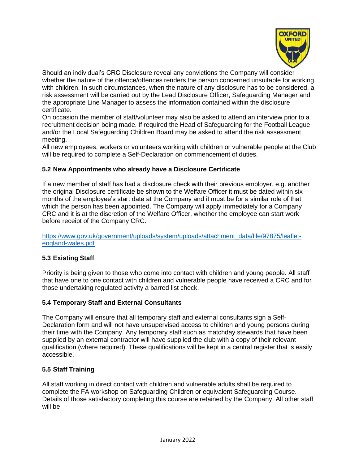

Should an individual's CRC Disclosure reveal any convictions the Company will consider whether the nature of the offence/offences renders the person concerned unsuitable for working with children. In such circumstances, when the nature of any disclosure has to be considered, a risk assessment will be carried out by the Lead Disclosure Officer, Safeguarding Manager and the appropriate Line Manager to assess the information contained within the disclosure certificate.

On occasion the member of staff/volunteer may also be asked to attend an interview prior to a recruitment decision being made. If required the Head of Safeguarding for the Football League and/or the Local Safeguarding Children Board may be asked to attend the risk assessment meeting.

All new employees, workers or volunteers working with children or vulnerable people at the Club will be required to complete a Self-Declaration on commencement of duties.

#### **5.2 New Appointments who already have a Disclosure Certificate**

If a new member of staff has had a disclosure check with their previous employer, e.g. another the original Disclosure certificate be shown to the Welfare Officer it must be dated within six months of the employee's start date at the Company and it must be for a similar role of that which the person has been appointed. The Company will apply immediately for a Company CRC and it is at the discretion of the Welfare Officer, whether the employee can start work before receipt of the Company CRC.

https://www.gov.uk/government/uploads/system/uploads/attachment\_data/file/97875/leafletengland-wales.pdf

# **5.3 Existing Staff**

Priority is being given to those who come into contact with children and young people. All staff that have one to one contact with children and vulnerable people have received a CRC and for those undertaking regulated activity a barred list check.

#### **5.4 Temporary Staff and External Consultants**

The Company will ensure that all temporary staff and external consultants sign a Self-Declaration form and will not have unsupervised access to children and young persons during their time with the Company. Any temporary staff such as matchday stewards that have been supplied by an external contractor will have supplied the club with a copy of their relevant qualification (where required). These qualifications will be kept in a central register that is easily accessible.

#### **5.5 Staff Training**

All staff working in direct contact with children and vulnerable adults shall be required to complete the FA workshop on Safeguarding Children or equivalent Safeguarding Course. Details of those satisfactory completing this course are retained by the Company. All other staff will be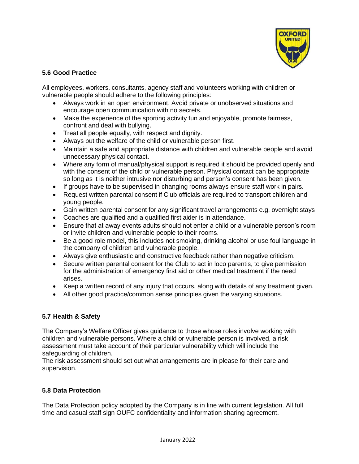

# **5.6 Good Practice**

All employees, workers, consultants, agency staff and volunteers working with children or vulnerable people should adhere to the following principles:

- Always work in an open environment. Avoid private or unobserved situations and encourage open communication with no secrets.
- Make the experience of the sporting activity fun and enjoyable, promote fairness, confront and deal with bullying.
- Treat all people equally, with respect and dignity.
- Always put the welfare of the child or vulnerable person first.
- Maintain a safe and appropriate distance with children and vulnerable people and avoid unnecessary physical contact.
- Where any form of manual/physical support is required it should be provided openly and with the consent of the child or vulnerable person. Physical contact can be appropriate so long as it is neither intrusive nor disturbing and person's consent has been given.
- If groups have to be supervised in changing rooms always ensure staff work in pairs.
- Request written parental consent if Club officials are required to transport children and young people.
- Gain written parental consent for any significant travel arrangements e.g. overnight stays
- Coaches are qualified and a qualified first aider is in attendance.
- Ensure that at away events adults should not enter a child or a vulnerable person's room or invite children and vulnerable people to their rooms.
- Be a good role model, this includes not smoking, drinking alcohol or use foul language in the company of children and vulnerable people.
- Always give enthusiastic and constructive feedback rather than negative criticism.
- Secure written parental consent for the Club to act in loco parentis, to give permission for the administration of emergency first aid or other medical treatment if the need arises.
- Keep a written record of any injury that occurs, along with details of any treatment given.
- All other good practice/common sense principles given the varying situations.

# **5.7 Health & Safety**

The Company's Welfare Officer gives guidance to those whose roles involve working with children and vulnerable persons. Where a child or vulnerable person is involved, a risk assessment must take account of their particular vulnerability which will include the safeguarding of children.

The risk assessment should set out what arrangements are in please for their care and supervision.

#### **5.8 Data Protection**

The Data Protection policy adopted by the Company is in line with current legislation. All full time and casual staff sign OUFC confidentiality and information sharing agreement.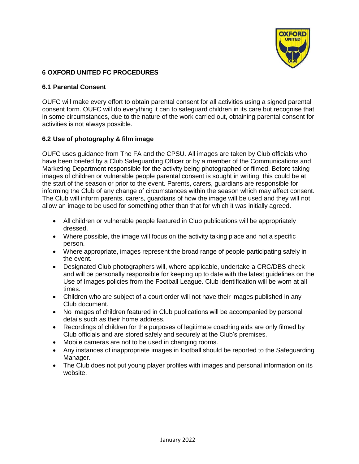

# **6 OXFORD UNITED FC PROCEDURES**

# **6.1 Parental Consent**

OUFC will make every effort to obtain parental consent for all activities using a signed parental consent form. OUFC will do everything it can to safeguard children in its care but recognise that in some circumstances, due to the nature of the work carried out, obtaining parental consent for activities is not always possible.

# **6.2 Use of photography & film image**

OUFC uses guidance from The FA and the CPSU. All images are taken by Club officials who have been briefed by a Club Safeguarding Officer or by a member of the Communications and Marketing Department responsible for the activity being photographed or filmed. Before taking images of children or vulnerable people parental consent is sought in writing, this could be at the start of the season or prior to the event. Parents, carers, guardians are responsible for informing the Club of any change of circumstances within the season which may affect consent. The Club will inform parents, carers, guardians of how the image will be used and they will not allow an image to be used for something other than that for which it was initially agreed.

- All children or vulnerable people featured in Club publications will be appropriately dressed.
- Where possible, the image will focus on the activity taking place and not a specific person.
- Where appropriate, images represent the broad range of people participating safely in the event.
- Designated Club photographers will, where applicable, undertake a CRC/DBS check and will be personally responsible for keeping up to date with the latest guidelines on the Use of Images policies from the Football League. Club identification will be worn at all times.
- Children who are subject of a court order will not have their images published in any Club document.
- No images of children featured in Club publications will be accompanied by personal details such as their home address.
- Recordings of children for the purposes of legitimate coaching aids are only filmed by Club officials and are stored safely and securely at the Club's premises.
- Mobile cameras are not to be used in changing rooms.
- Any instances of inappropriate images in football should be reported to the Safeguarding Manager.
- The Club does not put young player profiles with images and personal information on its website.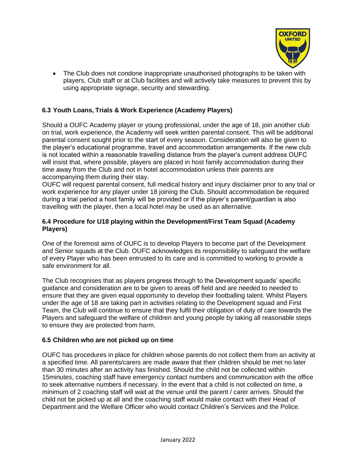

• The Club does not condone inappropriate unauthorised photographs to be taken with players, Club staff or at Club facilities and will actively take measures to prevent this by using appropriate signage, security and stewarding.

# **6.3 Youth Loans, Trials & Work Experience (Academy Players)**

Should a OUFC Academy player or young professional, under the age of 18, join another club on trial, work experience, the Academy will seek written parental consent. This will be additional parental consent sought prior to the start of every season. Consideration will also be given to the player's educational programme, travel and accommodation arrangements. If the new club is not located within a reasonable travelling distance from the player's current address OUFC will insist that, where possible, players are placed in host family accommodation during their time away from the Club and not in hotel accommodation unless their parents are accompanying them during their stay.

OUFC will request parental consent, full medical history and injury disclaimer prior to any trial or work experience for any player under 18 joining the Club. Should accommodation be required during a trial period a host family will be provided or if the player's parent/guardian is also travelling with the player, then a local hotel may be used as an alternative.

#### **6.4 Procedure for U18 playing within the Development/First Team Squad (Academy Players)**

One of the foremost aims of OUFC is to develop Players to become part of the Development and Senior squads at the Club. OUFC acknowledges its responsibility to safeguard the welfare of every Player who has been entrusted to its care and is committed to working to provide a safe environment for all.

The Club recognises that as players progress through to the Development squads' specific guidance and consideration are to be given to areas off field and are needed to needed to ensure that they are given equal opportunity to develop their footballing talent. Whilst Players under the age of 18 are taking part in activities relating to the Development squad and First Team, the Club will continue to ensure that they fulfil their obligation of duty of care towards the Players and safeguard the welfare of children and young people by taking all reasonable steps to ensure they are protected from harm.

#### **6.5 Children who are not picked up on time**

OUFC has procedures in place for children whose parents do not collect them from an activity at a specified time. All parents/carers are made aware that their children should be met no later than 30 minutes after an activity has finished. Should the child not be collected within 15minutes, coaching staff have emergency contact numbers and communication with the office to seek alternative numbers if necessary. In the event that a child is not collected on time, a minimum of 2 coaching staff will wait at the venue until the parent / carer arrives. Should the child not be picked up at all and the coaching staff would make contact with their Head of Department and the Welfare Officer who would contact Children's Services and the Police.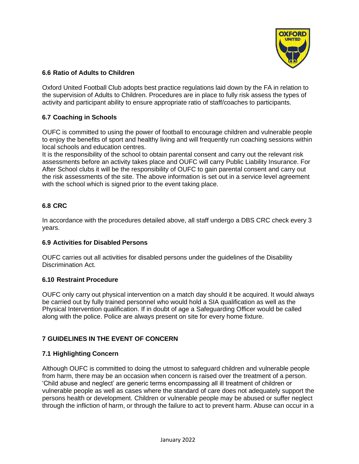

#### **6.6 Ratio of Adults to Children**

Oxford United Football Club adopts best practice regulations laid down by the FA in relation to the supervision of Adults to Children. Procedures are in place to fully risk assess the types of activity and participant ability to ensure appropriate ratio of staff/coaches to participants.

#### **6.7 Coaching in Schools**

OUFC is committed to using the power of football to encourage children and vulnerable people to enjoy the benefits of sport and healthy living and will frequently run coaching sessions within local schools and education centres.

It is the responsibility of the school to obtain parental consent and carry out the relevant risk assessments before an activity takes place and OUFC will carry Public Liability Insurance. For After School clubs it will be the responsibility of OUFC to gain parental consent and carry out the risk assessments of the site. The above information is set out in a service level agreement with the school which is signed prior to the event taking place.

#### **6.8 CRC**

In accordance with the procedures detailed above, all staff undergo a DBS CRC check every 3 years.

#### **6.9 Activities for Disabled Persons**

OUFC carries out all activities for disabled persons under the guidelines of the Disability Discrimination Act.

#### **6.10 Restraint Procedure**

OUFC only carry out physical intervention on a match day should it be acquired. It would always be carried out by fully trained personnel who would hold a SIA qualification as well as the Physical Intervention qualification. If in doubt of age a Safeguarding Officer would be called along with the police. Police are always present on site for every home fixture.

#### **7 GUIDELINES IN THE EVENT OF CONCERN**

#### **7.1 Highlighting Concern**

Although OUFC is committed to doing the utmost to safeguard children and vulnerable people from harm, there may be an occasion when concern is raised over the treatment of a person. 'Child abuse and neglect' are generic terms encompassing all ill treatment of children or vulnerable people as well as cases where the standard of care does not adequately support the persons health or development. Children or vulnerable people may be abused or suffer neglect through the infliction of harm, or through the failure to act to prevent harm. Abuse can occur in a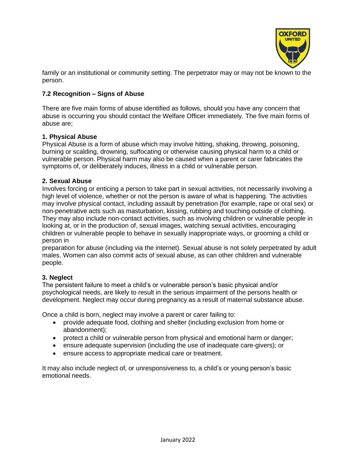

family or an institutional or community setting. The perpetrator may or may not be known to the person.

# **7.2 Recognition – Signs of Abuse**

There are five main forms of abuse identified as follows, should you have any concern that abuse is occurring you should contact the Welfare Officer immediately. The five main forms of abuse are;

#### **1. Physical Abuse**

Physical Abuse is a form of abuse which may involve hitting, shaking, throwing, poisoning, burning or scalding, drowning, suffocating or otherwise causing physical harm to a child or vulnerable person. Physical harm may also be caused when a parent or carer fabricates the symptoms of, or deliberately induces, illness in a child or vulnerable person.

#### **2. Sexual Abuse**

Involves forcing or enticing a person to take part in sexual activities, not necessarily involving a high level of violence, whether or not the person is aware of what is happening. The activities may involve physical contact, including assault by penetration (for example, rape or oral sex) or non-penetrative acts such as masturbation, kissing, rubbing and touching outside of clothing. They may also include non-contact activities, such as involving children or vulnerable people in looking at, or in the production of, sexual images, watching sexual activities, encouraging children or vulnerable people to behave in sexually inappropriate ways, or grooming a child or person in

preparation for abuse (including via the internet). Sexual abuse is not solely perpetrated by adult males. Women can also commit acts of sexual abuse, as can other children and vulnerable people.

#### **3. Neglect**

The persistent failure to meet a child's or vulnerable person's basic physical and/or psychological needs, are likely to result in the serious impairment of the persons health or development. Neglect may occur during pregnancy as a result of maternal substance abuse.

Once a child is born, neglect may involve a parent or carer failing to:

- provide adequate food, clothing and shelter (including exclusion from home or abandonment);
- protect a child or vulnerable person from physical and emotional harm or danger;
- ensure adequate supervision (including the use of inadequate care-givers); or
- ensure access to appropriate medical care or treatment.

It may also include neglect of, or unresponsiveness to, a child's or young person's basic emotional needs.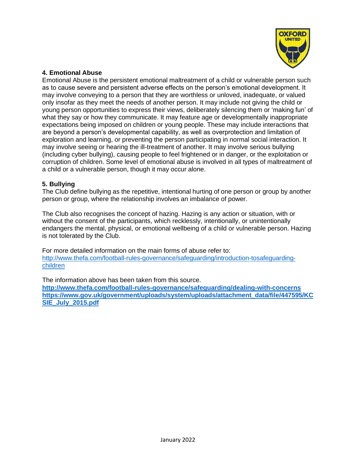

#### **4. Emotional Abuse**

Emotional Abuse is the persistent emotional maltreatment of a child or vulnerable person such as to cause severe and persistent adverse effects on the person's emotional development. It may involve conveying to a person that they are worthless or unloved, inadequate, or valued only insofar as they meet the needs of another person. It may include not giving the child or young person opportunities to express their views, deliberately silencing them or 'making fun' of what they say or how they communicate. It may feature age or developmentally inappropriate expectations being imposed on children or young people. These may include interactions that are beyond a person's developmental capability, as well as overprotection and limitation of exploration and learning, or preventing the person participating in normal social interaction. It may involve seeing or hearing the ill-treatment of another. It may involve serious bullying (including cyber bullying), causing people to feel frightened or in danger, or the exploitation or corruption of children. Some level of emotional abuse is involved in all types of maltreatment of a child or a vulnerable person, though it may occur alone.

#### **5. Bullying**

The Club define bullying as the repetitive, intentional hurting of one person or group by another person or group, where the relationship involves an imbalance of power.

The Club also recognises the concept of hazing. Hazing is any action or situation, with or without the consent of the participants, which recklessly, intentionally, or unintentionally endangers the mental, physical, or emotional wellbeing of a child or vulnerable person. Hazing is not tolerated by the Club.

For more detailed information on the main forms of abuse refer to: http://www.thefa.com/football-rules-governance/safeguarding/introduction-tosafeguardingchildren

The information above has been taken from this source. **http://www.thefa.com/football-rules-governance/safeguarding/dealing-with-concerns https://www.gov.uk/government/uploads/system/uploads/attachment\_data/file/447595/KC SIE\_July\_2015.pdf**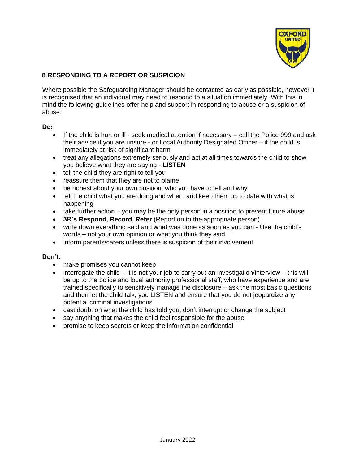

# **8 RESPONDING TO A REPORT OR SUSPICION**

Where possible the Safeguarding Manager should be contacted as early as possible, however it is recognised that an individual may need to respond to a situation immediately. With this in mind the following guidelines offer help and support in responding to abuse or a suspicion of abuse:

#### **Do:**

- If the child is hurt or ill seek medical attention if necessary call the Police 999 and ask their advice if you are unsure - or Local Authority Designated Officer – if the child is immediately at risk of significant harm
- treat any allegations extremely seriously and act at all times towards the child to show you believe what they are saying - **LISTEN**
- tell the child they are right to tell you
- reassure them that they are not to blame
- be honest about your own position, who you have to tell and why
- tell the child what you are doing and when, and keep them up to date with what is happening
- take further action you may be the only person in a position to prevent future abuse
- **3R's Respond, Record, Refer** (Report on to the appropriate person)
- write down everything said and what was done as soon as you can Use the child's words – not your own opinion or what you think they said
- inform parents/carers unless there is suspicion of their involvement

#### **Don't:**

- make promises you cannot keep
- $\bullet$  interrogate the child it is not your job to carry out an investigation/interview this will be up to the police and local authority professional staff, who have experience and are trained specifically to sensitively manage the disclosure – ask the most basic questions and then let the child talk, you LISTEN and ensure that you do not jeopardize any potential criminal investigations
- cast doubt on what the child has told you, don't interrupt or change the subject
- say anything that makes the child feel responsible for the abuse
- promise to keep secrets or keep the information confidential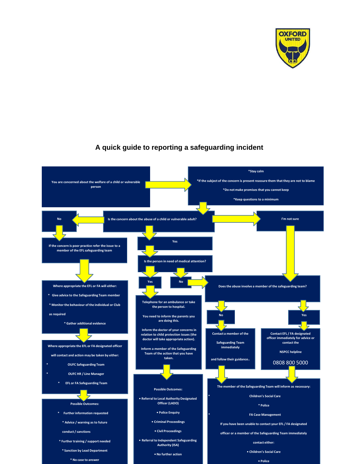

# **A quick guide to reporting a safeguarding incident**

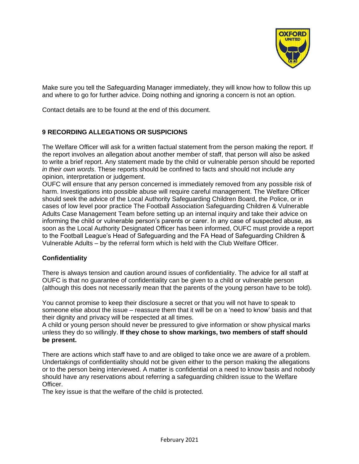

Make sure you tell the Safeguarding Manager immediately, they will know how to follow this up and where to go for further advice. Doing nothing and ignoring a concern is not an option.

Contact details are to be found at the end of this document.

#### **9 RECORDING ALLEGATIONS OR SUSPICIONS**

The Welfare Officer will ask for a written factual statement from the person making the report. If the report involves an allegation about another member of staff, that person will also be asked to write a brief report. Any statement made by the child or vulnerable person should be reported *in their own words*. These reports should be confined to facts and should not include any opinion, interpretation or judgement.

OUFC will ensure that any person concerned is immediately removed from any possible risk of harm. Investigations into possible abuse will require careful management. The Welfare Officer should seek the advice of the Local Authority Safeguarding Children Board, the Police, or in cases of low level poor practice The Football Association Safeguarding Children & Vulnerable Adults Case Management Team before setting up an internal inquiry and take their advice on informing the child or vulnerable person's parents or carer. In any case of suspected abuse, as soon as the Local Authority Designated Officer has been informed, OUFC must provide a report to the Football League's Head of Safeguarding and the FA Head of Safeguarding Children & Vulnerable Adults – by the referral form which is held with the Club Welfare Officer.

#### **Confidentiality**

There is always tension and caution around issues of confidentiality. The advice for all staff at OUFC is that no guarantee of confidentiality can be given to a child or vulnerable person (although this does not necessarily mean that the parents of the young person have to be told).

You cannot promise to keep their disclosure a secret or that you will not have to speak to someone else about the issue – reassure them that it will be on a 'need to know' basis and that their dignity and privacy will be respected at all times.

A child or young person should never be pressured to give information or show physical marks unless they do so willingly. **If they chose to show markings, two members of staff should be present.**

There are actions which staff have to and are obliged to take once we are aware of a problem. Undertakings of confidentiality should not be given either to the person making the allegations or to the person being interviewed. A matter is confidential on a need to know basis and nobody should have any reservations about referring a safeguarding children issue to the Welfare Officer.

The key issue is that the welfare of the child is protected.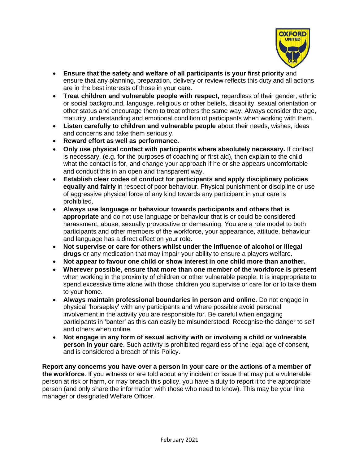

- **Ensure that the safety and welfare of all participants is your first priority** and ensure that any planning, preparation, delivery or review reflects this duty and all actions are in the best interests of those in your care.
- **Treat children and vulnerable people with respect,** regardless of their gender, ethnic or social background, language, religious or other beliefs, disability, sexual orientation or other status and encourage them to treat others the same way. Always consider the age, maturity, understanding and emotional condition of participants when working with them.
- **Listen carefully to children and vulnerable people** about their needs, wishes, ideas and concerns and take them seriously.
- **Reward effort as well as performance.**
- **Only use physical contact with participants where absolutely necessary.** If contact is necessary, (e.g. for the purposes of coaching or first aid), then explain to the child what the contact is for, and change your approach if he or she appears uncomfortable and conduct this in an open and transparent way.
- **Establish clear codes of conduct for participants and apply disciplinary policies equally and fairly** in respect of poor behaviour. Physical punishment or discipline or use of aggressive physical force of any kind towards any participant in your care is prohibited.
- **Always use language or behaviour towards participants and others that is appropriate** and do not use language or behaviour that is or could be considered harassment, abuse, sexually provocative or demeaning. You are a role model to both participants and other members of the workforce, your appearance, attitude, behaviour and language has a direct effect on your role.
- **Not supervise or care for others whilst under the influence of alcohol or illegal drugs** or any medication that may impair your ability to ensure a players welfare.
- **Not appear to favour one child or show interest in one child more than another.**
- **Wherever possible, ensure that more than one member of the workforce is present** when working in the proximity of children or other vulnerable people. It is inappropriate to spend excessive time alone with those children you supervise or care for or to take them to your home.
- **Always maintain professional boundaries in person and online.** Do not engage in physical 'horseplay' with any participants and where possible avoid personal involvement in the activity you are responsible for. Be careful when engaging participants in 'banter' as this can easily be misunderstood. Recognise the danger to self and others when online.
- **Not engage in any form of sexual activity with or involving a child or vulnerable person in your care**. Such activity is prohibited regardless of the legal age of consent, and is considered a breach of this Policy.

**Report any concerns you have over a person in your care or the actions of a member of the workforce**. If you witness or are told about any incident or issue that may put a vulnerable person at risk or harm, or may breach this policy, you have a duty to report it to the appropriate person (and only share the information with those who need to know). This may be your line manager or designated Welfare Officer.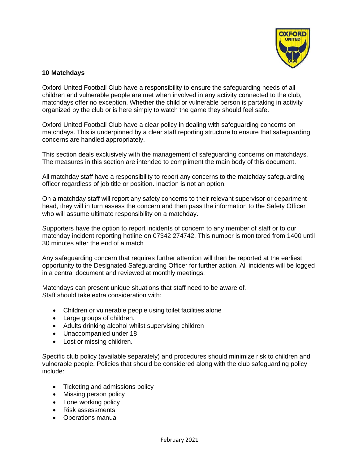

#### **10 Matchdays**

Oxford United Football Club have a responsibility to ensure the safeguarding needs of all children and vulnerable people are met when involved in any activity connected to the club, matchdays offer no exception. Whether the child or vulnerable person is partaking in activity organized by the club or is here simply to watch the game they should feel safe.

Oxford United Football Club have a clear policy in dealing with safeguarding concerns on matchdays. This is underpinned by a clear staff reporting structure to ensure that safeguarding concerns are handled appropriately.

This section deals exclusively with the management of safeguarding concerns on matchdays. The measures in this section are intended to compliment the main body of this document.

All matchday staff have a responsibility to report any concerns to the matchday safeguarding officer regardless of job title or position. Inaction is not an option.

On a matchday staff will report any safety concerns to their relevant supervisor or department head, they will in turn assess the concern and then pass the information to the Safety Officer who will assume ultimate responsibility on a matchday.

Supporters have the option to report incidents of concern to any member of staff or to our matchday incident reporting hotline on 07342 274742. This number is monitored from 1400 until 30 minutes after the end of a match

Any safeguarding concern that requires further attention will then be reported at the earliest opportunity to the Designated Safeguarding Officer for further action. All incidents will be logged in a central document and reviewed at monthly meetings.

Matchdays can present unique situations that staff need to be aware of. Staff should take extra consideration with:

- Children or vulnerable people using toilet facilities alone
- Large groups of children.
- Adults drinking alcohol whilst supervising children
- Unaccompanied under 18
- Lost or missing children.

Specific club policy (available separately) and procedures should minimize risk to children and vulnerable people. Policies that should be considered along with the club safeguarding policy include:

- Ticketing and admissions policy
- Missing person policy
- Lone working policy
- Risk assessments
- Operations manual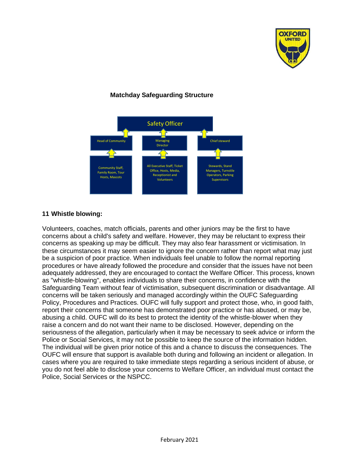

# **Matchday Safeguarding Structure**



#### **11 Whistle blowing:**

Volunteers, coaches, match officials, parents and other juniors may be the first to have concerns about a child's safety and welfare. However, they may be reluctant to express their concerns as speaking up may be difficult. They may also fear harassment or victimisation. In these circumstances it may seem easier to ignore the concern rather than report what may just be a suspicion of poor practice. When individuals feel unable to follow the normal reporting procedures or have already followed the procedure and consider that the issues have not been adequately addressed, they are encouraged to contact the Welfare Officer. This process, known as "whistle-blowing", enables individuals to share their concerns, in confidence with the Safeguarding Team without fear of victimisation, subsequent discrimination or disadvantage. All concerns will be taken seriously and managed accordingly within the OUFC Safeguarding Policy, Procedures and Practices. OUFC will fully support and protect those, who, in good faith, report their concerns that someone has demonstrated poor practice or has abused, or may be, abusing a child. OUFC will do its best to protect the identity of the whistle-blower when they raise a concern and do not want their name to be disclosed. However, depending on the seriousness of the allegation, particularly when it may be necessary to seek advice or inform the Police or Social Services, it may not be possible to keep the source of the information hidden. The individual will be given prior notice of this and a chance to discuss the consequences. The OUFC will ensure that support is available both during and following an incident or allegation. In cases where you are required to take immediate steps regarding a serious incident of abuse, or you do not feel able to disclose your concerns to Welfare Officer, an individual must contact the Police, Social Services or the NSPCC.